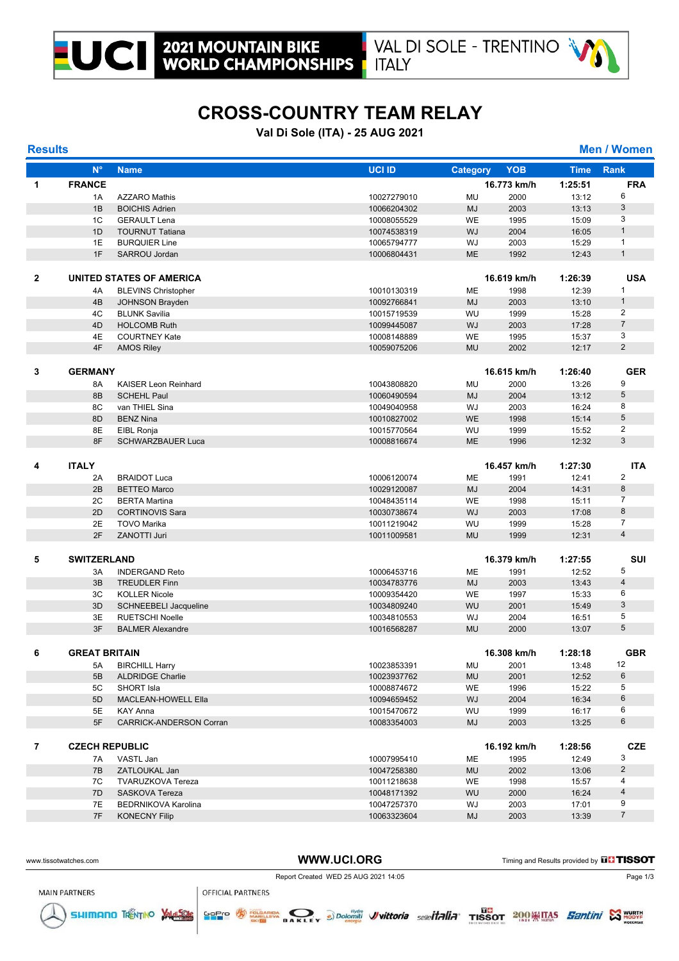



# **CROSS-COUNTRY TEAM RELAY**

#### **Val Di Sole (ITA) - 25 AUG 2021**

**Results Men / Women**

|   | $N^{\circ}$           | <b>Name</b>                    | <b>UCI ID</b> | <b>Category</b> | <b>YOB</b>  | <b>Time</b> | <b>Rank</b>    |
|---|-----------------------|--------------------------------|---------------|-----------------|-------------|-------------|----------------|
| 1 | <b>FRANCE</b>         |                                |               |                 | 16.773 km/h | 1:25:51     | <b>FRA</b>     |
|   | 1A                    | <b>AZZARO Mathis</b>           | 10027279010   | MU              | 2000        | 13:12       | 6              |
|   | 1B                    | <b>BOICHIS Adrien</b>          | 10066204302   | <b>MJ</b>       | 2003        | 13:13       | 3              |
|   | 1 <sup>C</sup>        | <b>GERAULT Lena</b>            | 10008055529   | <b>WE</b>       | 1995        | 15:09       | 3              |
|   | 1D                    | <b>TOURNUT Tatiana</b>         | 10074538319   | WJ              | 2004        | 16:05       | $\mathbf{1}$   |
|   | 1E                    | <b>BURQUIER Line</b>           | 10065794777   | WJ              | 2003        | 15:29       | $\mathbf{1}$   |
|   | 1F                    | SARROU Jordan                  | 10006804431   | <b>ME</b>       | 1992        | 12:43       | $\mathbf{1}$   |
|   |                       |                                |               |                 |             |             |                |
|   |                       |                                |               |                 |             |             |                |
| 2 |                       | UNITED STATES OF AMERICA       |               |                 | 16.619 km/h | 1:26:39     | <b>USA</b>     |
|   | 4A                    | <b>BLEVINS Christopher</b>     | 10010130319   | ME              | 1998        | 12:39       | 1              |
|   | 4B                    | <b>JOHNSON Brayden</b>         | 10092766841   | <b>MJ</b>       | 2003        | 13:10       | $\mathbf{1}$   |
|   | 4C                    | <b>BLUNK Savilia</b>           | 10015719539   | WU              | 1999        | 15:28       | $\overline{2}$ |
|   | 4D                    | <b>HOLCOMB Ruth</b>            | 10099445087   | WJ              | 2003        | 17:28       | $\overline{7}$ |
|   | 4E                    | <b>COURTNEY Kate</b>           | 10008148889   | <b>WE</b>       | 1995        | 15:37       | 3              |
|   | 4F                    | <b>AMOS Riley</b>              | 10059075206   | <b>MU</b>       | 2002        | 12:17       | $\overline{2}$ |
|   |                       |                                |               |                 |             |             |                |
| 3 | <b>GERMANY</b>        |                                |               |                 | 16.615 km/h | 1:26:40     | <b>GER</b>     |
|   | 8A                    | <b>KAISER Leon Reinhard</b>    | 10043808820   | MU              | 2000        | 13:26       | 9              |
|   | 8B                    | <b>SCHEHL Paul</b>             | 10060490594   | <b>MJ</b>       | 2004        | 13:12       | 5              |
|   | 8C                    | van THIEL Sina                 | 10049040958   | WJ              | 2003        | 16:24       | 8              |
|   | 8D                    | <b>BENZ Nina</b>               | 10010827002   | <b>WE</b>       | 1998        | 15:14       | 5              |
|   | 8E                    | EIBL Ronja                     | 10015770564   | WU              | 1999        | 15:52       | $\overline{2}$ |
|   | 8F                    | <b>SCHWARZBAUER Luca</b>       | 10008816674   | <b>ME</b>       | 1996        | 12:32       | 3              |
|   |                       |                                |               |                 |             |             |                |
| 4 | <b>ITALY</b>          |                                |               |                 | 16.457 km/h | 1:27:30     | <b>ITA</b>     |
|   | 2A                    | <b>BRAIDOT Luca</b>            | 10006120074   | ME              | 1991        | 12:41       | $\overline{c}$ |
|   | 2B                    | <b>BETTEO Marco</b>            | 10029120087   | <b>MJ</b>       | 2004        | 14:31       | 8              |
|   | 2C                    | <b>BERTA Martina</b>           | 10048435114   | <b>WE</b>       | 1998        | 15:11       | 7              |
|   | 2D                    | <b>CORTINOVIS Sara</b>         | 10030738674   | WJ              | 2003        | 17:08       | 8              |
|   | 2E                    | <b>TOVO Marika</b>             | 10011219042   | WU              | 1999        | 15:28       | $\overline{7}$ |
|   | 2F                    | <b>ZANOTTI Juri</b>            | 10011009581   | <b>MU</b>       | 1999        | 12:31       | $\overline{4}$ |
|   |                       |                                |               |                 |             |             |                |
| 5 |                       |                                |               |                 |             |             | SUI            |
|   | <b>SWITZERLAND</b>    |                                |               |                 | 16.379 km/h | 1:27:55     |                |
|   | 3A                    | <b>INDERGAND Reto</b>          | 10006453716   | <b>ME</b>       | 1991        | 12:52       | 5              |
|   | 3B                    | <b>TREUDLER Finn</b>           | 10034783776   | <b>MJ</b>       | 2003        | 13:43       | 4              |
|   | 3C                    | <b>KOLLER Nicole</b>           | 10009354420   | WE              | 1997        | 15:33       | 6              |
|   | 3D                    | SCHNEEBELI Jacqueline          | 10034809240   | WU              | 2001        | 15:49       | 3              |
|   | 3E                    | <b>RUETSCHI Noelle</b>         | 10034810553   | WJ              | 2004        | 16:51       | 5              |
|   | 3F                    | <b>BALMER Alexandre</b>        | 10016568287   | <b>MU</b>       | 2000        | 13:07       | 5              |
|   |                       |                                |               |                 |             |             |                |
| 6 | <b>GREAT BRITAIN</b>  |                                |               |                 | 16.308 km/h | 1:28:18     | <b>GBR</b>     |
|   | 5A                    | <b>BIRCHILL Harry</b>          | 10023853391   | MU              | 2001        | 13:48       | 12             |
|   | 5B                    | <b>ALDRIDGE Charlie</b>        | 10023937762   | MU              | 2001        | 12:52       | 6              |
|   | 5C                    | SHORT Isla                     | 10008874672   | WE              | 1996        | 15:22       | 5              |
|   | 5D                    | MACLEAN-HOWELL Ella            | 10094659452   | WJ              | 2004        | 16:34       | 6              |
|   | 5E                    | KAY Anna                       | 10015470672   | WU              | 1999        | 16:17       | 6              |
|   | 5F                    | <b>CARRICK-ANDERSON Corran</b> | 10083354003   | MJ              | 2003        | 13:25       | 6              |
|   |                       |                                |               |                 |             |             |                |
| 7 | <b>CZECH REPUBLIC</b> |                                |               |                 | 16.192 km/h | 1:28:56     | <b>CZE</b>     |
|   | 7A                    | VASTL Jan                      | 10007995410   | МE              | 1995        | 12:49       | 3              |
|   | 7B                    | ZATLOUKAL Jan                  | 10047258380   | <b>MU</b>       | 2002        | 13:06       | $\overline{2}$ |
|   | 7C                    | <b>TVARUZKOVA Tereza</b>       | 10011218638   | WE              | 1998        | 15:57       | 4              |
|   | 7D                    | SASKOVA Tereza                 | 10048171392   | WU              | 2000        | 16:24       | 4              |
|   | 7E                    | <b>BEDRNIKOVA Karolina</b>     | 10047257370   | WJ              | 2003        | 17:01       | 9              |
|   | 7F                    | <b>KONECNY Filip</b>           | 10063323604   | MJ              | 2003        | 13:39       | $\overline{7}$ |
|   |                       |                                |               |                 |             |             |                |

Report Created WED 25 AUG 2021 14:05

WWW.UCI.ORG Timing and Results provided by **THISSOT** 



SHIMANO TRENTINO VALUESCIE

**OFFICIAL PARTNERS** 

GoPro **WARD AIDA** 

DAKLEY 8) Dolomitic Vvittoria sellettalia TISSOT 2009 HTAS Santini S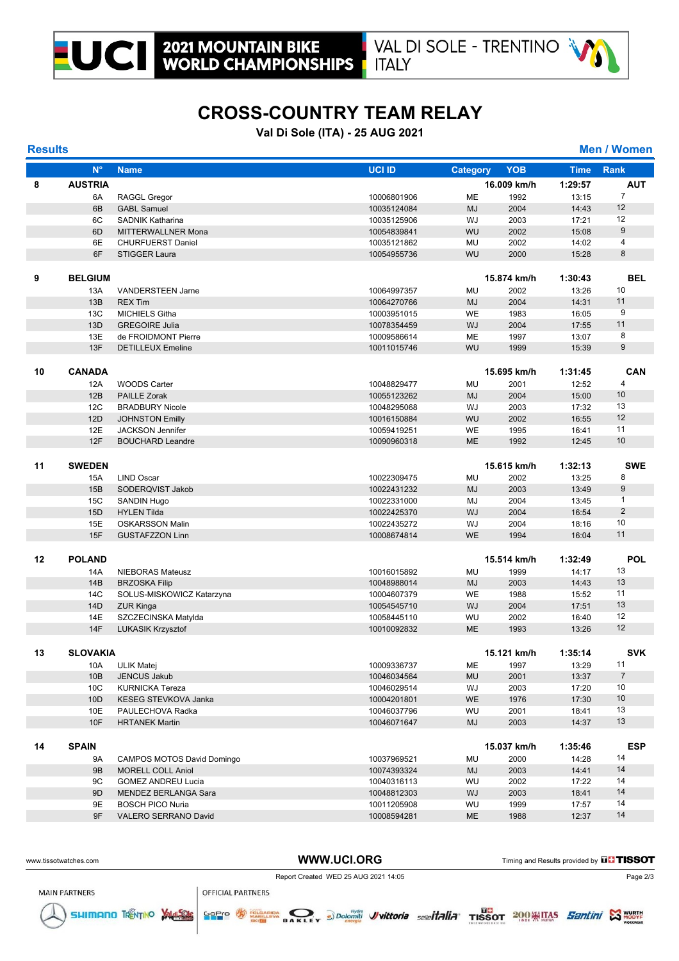





### **CROSS-COUNTRY TEAM RELAY**

#### **Val Di Sole (ITA) - 25 AUG 2021**

**Results Men / Women**

|    | $N^{\circ}$     | <b>Name</b>                       | <b>UCI ID</b> | <b>Category</b> | <b>YOB</b>  | <b>Time</b> | <b>Rank</b>      |
|----|-----------------|-----------------------------------|---------------|-----------------|-------------|-------------|------------------|
| 8  | <b>AUSTRIA</b>  |                                   |               |                 | 16.009 km/h | 1:29:57     | <b>AUT</b>       |
|    | 6A              | <b>RAGGL Gregor</b>               | 10006801906   | ME              | 1992        | 13:15       | $\overline{7}$   |
|    | 6B              | <b>GABL Samuel</b>                | 10035124084   | <b>MJ</b>       | 2004        | 14:43       | 12               |
|    | 6C              | <b>SADNIK Katharina</b>           | 10035125906   | WJ              | 2003        | 17:21       | 12               |
|    | 6D              | MITTERWALLNER Mona                | 10054839841   | WU              | 2002        | 15:08       | 9                |
|    | 6E              | <b>CHURFUERST Daniel</b>          | 10035121862   | MU              | 2002        | 14:02       | 4                |
|    | 6F              | <b>STIGGER Laura</b>              | 10054955736   | WU              | 2000        | 15:28       | 8                |
|    |                 |                                   |               |                 |             |             |                  |
| 9  | <b>BELGIUM</b>  |                                   |               |                 | 15.874 km/h | 1:30:43     | <b>BEL</b>       |
|    | 13A             | <b>VANDERSTEEN Jame</b>           | 10064997357   | MU              | 2002        | 13:26       | 10               |
|    | 13B             | <b>REX Tim</b>                    | 10064270766   | <b>MJ</b>       | 2004        | 14:31       | 11               |
|    | 13C             | <b>MICHIELS Githa</b>             | 10003951015   | WE              | 1983        | 16:05       | 9                |
|    | 13D             | <b>GREGOIRE Julia</b>             | 10078354459   | WJ              | 2004        | 17:55       | 11               |
|    | 13E             | de FROIDMONT Pierre               | 10009586614   | ME              | 1997        | 13:07       | 8                |
|    | 13F             | <b>DETILLEUX Emeline</b>          | 10011015746   | WU              | 1999        | 15:39       | 9                |
|    |                 |                                   |               |                 |             |             |                  |
| 10 | <b>CANADA</b>   |                                   |               |                 | 15.695 km/h | 1:31:45     | CAN              |
|    | 12A             | <b>WOODS Carter</b>               | 10048829477   | <b>MU</b>       | 2001        | 12:52       | $\overline{4}$   |
|    | 12B             | <b>PAILLE Zorak</b>               | 10055123262   | <b>MJ</b>       | 2004        | 15:00       | 10               |
|    | 12C             | <b>BRADBURY Nicole</b>            | 10048295068   | WJ              | 2003        | 17:32       | 13               |
|    | 12D             | <b>JOHNSTON Emilly</b>            | 10016150884   | WU              | 2002        | 16:55       | 12               |
|    | 12E             | <b>JACKSON Jennifer</b>           | 10059419251   | WE              | 1995        | 16:41       | 11               |
|    | 12F             | <b>BOUCHARD Leandre</b>           | 10090960318   | <b>ME</b>       | 1992        | 12:45       | 10               |
|    |                 |                                   |               |                 |             |             |                  |
| 11 | <b>SWEDEN</b>   |                                   |               |                 | 15.615 km/h | 1:32:13     | <b>SWE</b>       |
|    | 15A             | <b>LIND Oscar</b>                 | 10022309475   | MU              | 2002        | 13:25       | 8                |
|    | 15B             | SODERQVIST Jakob                  | 10022431232   | <b>MJ</b>       | 2003        | 13:49       | $\boldsymbol{9}$ |
|    | 15C             | SANDIN Hugo                       | 10022331000   | MJ              | 2004        | 13:45       | $\mathbf{1}$     |
|    | 15D             | <b>HYLEN Tilda</b>                | 10022425370   | WJ              | 2004        | 16:54       | 2                |
|    | 15E             | <b>OSKARSSON Malin</b>            | 10022435272   | WJ              | 2004        | 18:16       | 10               |
|    | 15F             | <b>GUSTAFZZON Linn</b>            | 10008674814   | <b>WE</b>       | 1994        | 16:04       | 11               |
|    |                 |                                   |               |                 |             |             |                  |
| 12 | <b>POLAND</b>   |                                   |               |                 | 15.514 km/h | 1:32:49     | <b>POL</b>       |
|    | 14A             | NIEBORAS Mateusz                  | 10016015892   | MU              | 1999        | 14:17       | 13               |
|    | 14B             | <b>BRZOSKA Filip</b>              | 10048988014   | <b>MJ</b>       | 2003        | 14:43       | 13               |
|    | 14C             | SOLUS-MISKOWICZ Katarzyna         | 10004607379   | WE              | 1988        | 15:52       | 11               |
|    | 14D             | <b>ZUR Kinga</b>                  | 10054545710   | WJ              | 2004        | 17:51       | 13               |
|    | 14E             | SZCZECINSKA Matylda               | 10058445110   | WU              | 2002        | 16:40       | 12               |
|    | <b>14F</b>      | <b>LUKASIK Krzysztof</b>          | 10010092832   | <b>ME</b>       | 1993        | 13:26       | 12               |
|    |                 |                                   |               |                 |             |             |                  |
| 13 | <b>SLOVAKIA</b> |                                   |               |                 | 15.121 km/h | 1:35:14     | <b>SVK</b>       |
|    | 10A             | <b>ULIK Matej</b>                 | 10009336737   | МE              | 1997        | 13:29       | 11               |
|    | 10B             | JENCUS Jakub                      | 10046034564   | <b>MU</b>       | 2001        | 13:37       | $\overline{7}$   |
|    | 10 <sub>C</sub> | <b>KURNICKA Tereza</b>            | 10046029514   | WJ              | 2003        | 17:20       | 10               |
|    | 10D             | KESEG STEVKOVA Janka              | 10004201801   | WE              | 1976        | 17:30       | 10               |
|    | 10E             | PAULECHOVA Radka                  | 10046037796   | WU              | 2001        | 18:41       | 13               |
|    | 10F             | <b>HRTANEK Martin</b>             | 10046071647   | MJ              | 2003        | 14:37       | 13               |
|    |                 |                                   |               |                 |             |             |                  |
| 14 | <b>SPAIN</b>    |                                   |               |                 | 15.037 km/h | 1:35:46     | <b>ESP</b>       |
|    | 9Α              | <b>CAMPOS MOTOS David Domingo</b> | 10037969521   | MU              | 2000        | 14:28       | 14               |
|    | 9B              | <b>MORELL COLL Aniol</b>          | 10074393324   | MJ              | 2003        | 14:41       | 14               |
|    | 9C              | <b>GOMEZ ANDREU Lucia</b>         | 10040316113   | WU              | 2002        | 17:22       | 14               |
|    | 9D              | MENDEZ BERLANGA Sara              | 10048812303   | WJ              | 2003        | 18:41       | 14               |
|    | 9E              | <b>BOSCH PICO Nuria</b>           | 10011205908   | WU              | 1999        | 17:57       | 14               |
|    | 9F              | VALERO SERRANO David              | 10008594281   | ME              | 1988        | 12:37       | 14               |

WWW.UCI.ORG Timing and Results provided by **THISSOT** 

Report Created WED 25 AUG 2021 14:05

**ER DE DOUGHING Vittoria** selle**italia** TISSOT 2009 TIAS *Eantini* S



SHIMANO TRENTINO VALUESCIE

**OFFICIAL PARTNERS** 

GoPro **AN** FOLGA